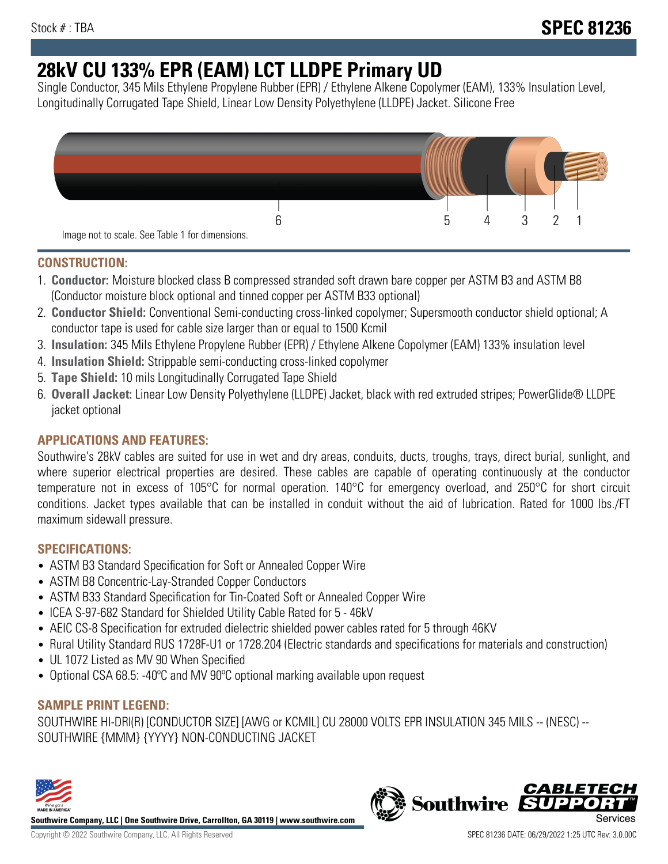# **28kV CU 133% EPR (EAM) LCT LLDPE Primary UD**

Single Conductor, 345 Mils Ethylene Propylene Rubber (EPR) / Ethylene Alkene Copolymer (EAM), 133% Insulation Level, Longitudinally Corrugated Tape Shield, Linear Low Density Polyethylene (LLDPE) Jacket. Silicone Free



### **CONSTRUCTION:**

- 1. **Conductor:** Moisture blocked class B compressed stranded soft drawn bare copper per ASTM B3 and ASTM B8 (Conductor moisture block optional and tinned copper per ASTM B33 optional)
- 2. **Conductor Shield:** Conventional Semi-conducting cross-linked copolymer; Supersmooth conductor shield optional; A conductor tape is used for cable size larger than or equal to 1500 Kcmil
- 3. **Insulation:** 345 Mils Ethylene Propylene Rubber (EPR) / Ethylene Alkene Copolymer (EAM) 133% insulation level
- 4. **Insulation Shield:** Strippable semi-conducting cross-linked copolymer
- 5. **Tape Shield:** 10 mils Longitudinally Corrugated Tape Shield
- 6. **Overall Jacket:** Linear Low Density Polyethylene (LLDPE) Jacket, black with red extruded stripes; PowerGlide® LLDPE jacket optional

# **APPLICATIONS AND FEATURES:**

Southwire's 28kV cables are suited for use in wet and dry areas, conduits, ducts, troughs, trays, direct burial, sunlight, and where superior electrical properties are desired. These cables are capable of operating continuously at the conductor temperature not in excess of 105°C for normal operation. 140°C for emergency overload, and 250°C for short circuit conditions. Jacket types available that can be installed in conduit without the aid of lubrication. Rated for 1000 lbs./FT maximum sidewall pressure.

### **SPECIFICATIONS:**

- ASTM B3 Standard Specification for Soft or Annealed Copper Wire
- ASTM B8 Concentric-Lay-Stranded Copper Conductors
- ASTM B33 Standard Specification for Tin-Coated Soft or Annealed Copper Wire
- ICEA S-97-682 Standard for Shielded Utility Cable Rated for 5 46kV
- AEIC CS-8 Specification for extruded dielectric shielded power cables rated for 5 through 46KV
- Rural Utility Standard RUS 1728F-U1 or 1728.204 (Electric standards and specifications for materials and construction)
- UL 1072 Listed as MV 90 When Specified
- Optional CSA 68.5: -40ºC and MV 90ºC optional marking available upon request

# **SAMPLE PRINT LEGEND:**

SOUTHWIRE HI-DRI(R) [CONDUCTOR SIZE] [AWG or KCMIL] CU 28000 VOLTS EPR INSULATION 345 MILS -- (NESC) -- SOUTHWIRE {MMM} {YYYY} NON-CONDUCTING JACKET



**Southwire Company, LLC | One Southwire Drive, Carrollton, GA 30119 | www.southwire.com**